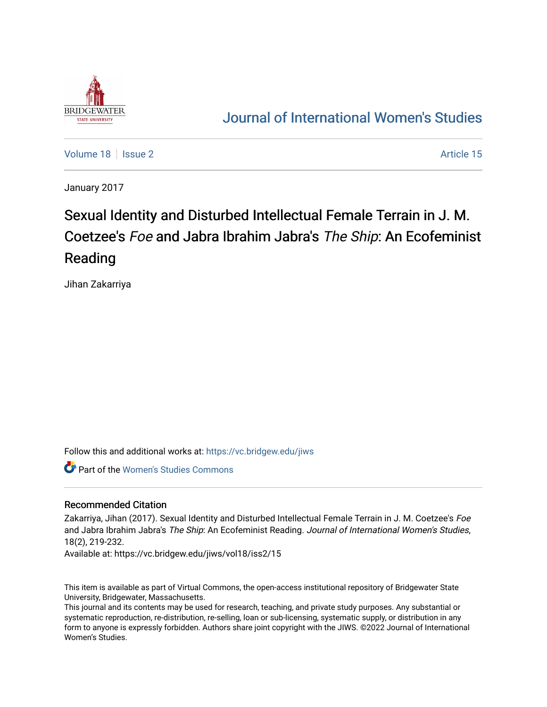

## [Journal of International Women's Studies](https://vc.bridgew.edu/jiws)

[Volume 18](https://vc.bridgew.edu/jiws/vol18) | [Issue 2](https://vc.bridgew.edu/jiws/vol18/iss2) Article 15

January 2017

# Sexual Identity and Disturbed Intellectual Female Terrain in J. M. Coetzee's Foe and Jabra Ibrahim Jabra's The Ship: An Ecofeminist Reading

Jihan Zakarriya

Follow this and additional works at: [https://vc.bridgew.edu/jiws](https://vc.bridgew.edu/jiws?utm_source=vc.bridgew.edu%2Fjiws%2Fvol18%2Fiss2%2F15&utm_medium=PDF&utm_campaign=PDFCoverPages)

Part of the [Women's Studies Commons](http://network.bepress.com/hgg/discipline/561?utm_source=vc.bridgew.edu%2Fjiws%2Fvol18%2Fiss2%2F15&utm_medium=PDF&utm_campaign=PDFCoverPages) 

#### Recommended Citation

Zakarriya, Jihan (2017). Sexual Identity and Disturbed Intellectual Female Terrain in J. M. Coetzee's Foe and Jabra Ibrahim Jabra's The Ship: An Ecofeminist Reading. Journal of International Women's Studies, 18(2), 219-232.

Available at: https://vc.bridgew.edu/jiws/vol18/iss2/15

This item is available as part of Virtual Commons, the open-access institutional repository of Bridgewater State University, Bridgewater, Massachusetts.

This journal and its contents may be used for research, teaching, and private study purposes. Any substantial or systematic reproduction, re-distribution, re-selling, loan or sub-licensing, systematic supply, or distribution in any form to anyone is expressly forbidden. Authors share joint copyright with the JIWS. ©2022 Journal of International Women's Studies.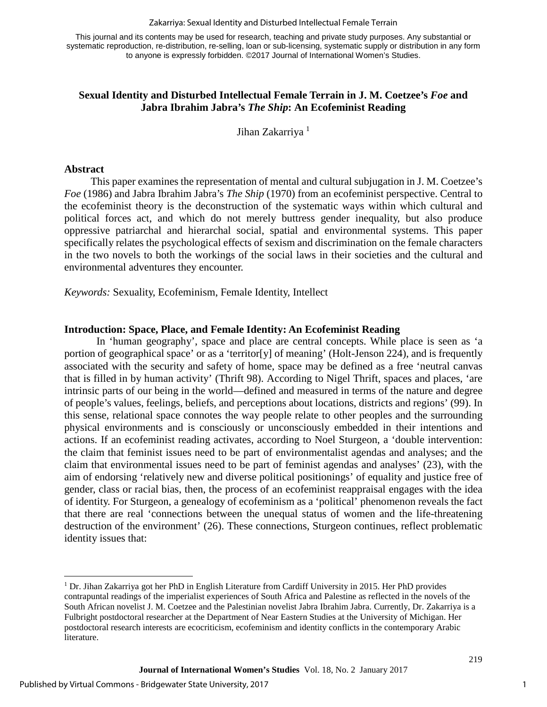#### Zakarriya: Sexual Identity and Disturbed Intellectual Female Terrain

This journal and its contents may be used for research, teaching and private study purposes. Any substantial or systematic reproduction, re-distribution, re-selling, loan or sub-licensing, systematic supply or distribution in any form to anyone is expressly forbidden. ©2017 Journal of International Women's Studies.

### **Sexual Identity and Disturbed Intellectual Female Terrain in J. M. Coetzee's** *Foe* **and Jabra Ibrahim Jabra's** *The Ship***: An Ecofeminist Reading**

Jihan Zakarriya<sup>[1](#page-1-0)</sup>

#### **Abstract**

This paper examines the representation of mental and cultural subjugation in J. M. Coetzee's *Foe* (1986) and Jabra Ibrahim Jabra's *The Ship* (1970) from an ecofeminist perspective. Central to the ecofeminist theory is the deconstruction of the systematic ways within which cultural and political forces act, and which do not merely buttress gender inequality, but also produce oppressive patriarchal and hierarchal social, spatial and environmental systems. This paper specifically relates the psychological effects of sexism and discrimination on the female characters in the two novels to both the workings of the social laws in their societies and the cultural and environmental adventures they encounter.

*Keywords:* Sexuality, Ecofeminism, Female Identity, Intellect

#### **Introduction: Space, Place, and Female Identity: An Ecofeminist Reading**

In 'human geography', space and place are central concepts. While place is seen as 'a portion of geographical space' or as a 'territor[y] of meaning' (Holt-Jenson 224), and is frequently associated with the security and safety of home, space may be defined as a free 'neutral canvas that is filled in by human activity' (Thrift 98). According to Nigel Thrift, spaces and places, 'are intrinsic parts of our being in the world—defined and measured in terms of the nature and degree of people's values, feelings, beliefs, and perceptions about locations, districts and regions' (99). In this sense, relational space connotes the way people relate to other peoples and the surrounding physical environments and is consciously or unconsciously embedded in their intentions and actions. If an ecofeminist reading activates, according to Noel Sturgeon, a 'double intervention: the claim that feminist issues need to be part of environmentalist agendas and analyses; and the claim that environmental issues need to be part of feminist agendas and analyses' (23), with the aim of endorsing 'relatively new and diverse political positionings' of equality and justice free of gender, class or racial bias, then, the process of an ecofeminist reappraisal engages with the idea of identity. For Sturgeon, a genealogy of ecofeminism as a 'political' phenomenon reveals the fact that there are real 'connections between the unequal status of women and the life-threatening destruction of the environment' (26). These connections, Sturgeon continues, reflect problematic identity issues that:

 $\overline{\phantom{a}}$ 

1

<span id="page-1-0"></span> $1$  Dr. Jihan Zakarriya got her PhD in English Literature from Cardiff University in 2015. Her PhD provides contrapuntal readings of the imperialist experiences of South Africa and Palestine as reflected in the novels of the South African novelist J. M. Coetzee and the Palestinian novelist Jabra Ibrahim Jabra. Currently, Dr. Zakarriya is a Fulbright postdoctoral researcher at the Department of Near Eastern Studies at the University of Michigan. Her postdoctoral research interests are ecocriticism, ecofeminism and identity conflicts in the contemporary Arabic literature.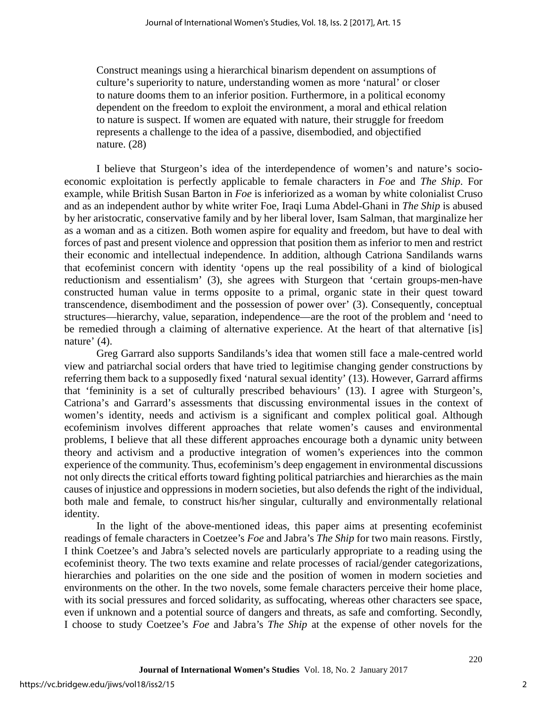Construct meanings using a hierarchical binarism dependent on assumptions of culture's superiority to nature, understanding women as more 'natural' or closer to nature dooms them to an inferior position. Furthermore, in a political economy dependent on the freedom to exploit the environment, a moral and ethical relation to nature is suspect. If women are equated with nature, their struggle for freedom represents a challenge to the idea of a passive, disembodied, and objectified nature. (28)

I believe that Sturgeon's idea of the interdependence of women's and nature's socioeconomic exploitation is perfectly applicable to female characters in *Foe* and *The Ship*. For example, while British Susan Barton in *Foe* is inferiorized as a woman by white colonialist Cruso and as an independent author by white writer Foe, Iraqi Luma Abdel-Ghani in *The Ship* is abused by her aristocratic, conservative family and by her liberal lover, Isam Salman, that marginalize her as a woman and as a citizen. Both women aspire for equality and freedom, but have to deal with forces of past and present violence and oppression that position them as inferior to men and restrict their economic and intellectual independence. In addition, although Catriona Sandilands warns that ecofeminist concern with identity 'opens up the real possibility of a kind of biological reductionism and essentialism' (3), she agrees with Sturgeon that 'certain groups-men-have constructed human value in terms opposite to a primal, organic state in their quest toward transcendence, disembodiment and the possession of power over' (3). Consequently, conceptual structures—hierarchy, value, separation, independence—are the root of the problem and 'need to be remedied through a claiming of alternative experience. At the heart of that alternative [is] nature' (4).

Greg Garrard also supports Sandilands's idea that women still face a male-centred world view and patriarchal social orders that have tried to legitimise changing gender constructions by referring them back to a supposedly fixed 'natural sexual identity' (13). However, Garrard affirms that 'femininity is a set of culturally prescribed behaviours' (13). I agree with Sturgeon's, Catriona's and Garrard's assessments that discussing environmental issues in the context of women's identity, needs and activism is a significant and complex political goal. Although ecofeminism involves different approaches that relate women's causes and environmental problems, I believe that all these different approaches encourage both a dynamic unity between theory and activism and a productive integration of women's experiences into the common experience of the community. Thus, ecofeminism's deep engagement in environmental discussions not only directs the critical efforts toward fighting political patriarchies and hierarchies as the main causes of injustice and oppressions in modern societies, but also defends the right of the individual, both male and female, to construct his/her singular, culturally and environmentally relational identity.

In the light of the above-mentioned ideas, this paper aims at presenting ecofeminist readings of female characters in Coetzee's *Foe* and Jabra's *The Ship* for two main reasons*.* Firstly*,*  I think Coetzee's and Jabra's selected novels are particularly appropriate to a reading using the ecofeminist theory. The two texts examine and relate processes of racial/gender categorizations, hierarchies and polarities on the one side and the position of women in modern societies and environments on the other. In the two novels, some female characters perceive their home place, with its social pressures and forced solidarity, as suffocating, whereas other characters see space, even if unknown and a potential source of dangers and threats, as safe and comforting. Secondly, I choose to study Coetzee's *Foe* and Jabra's *The Ship* at the expense of other novels for the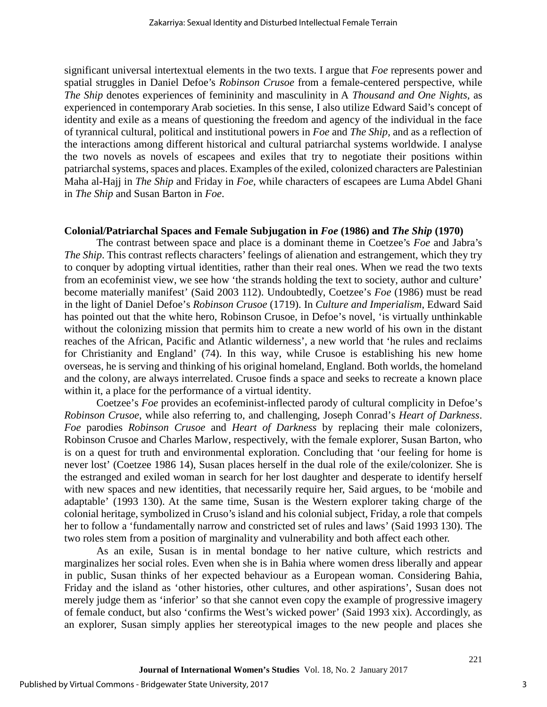significant universal intertextual elements in the two texts. I argue that *Foe* represents power and spatial struggles in Daniel Defoe's *Robinson Crusoe* from a female-centered perspective, while *The Ship* denotes experiences of femininity and masculinity in A *Thousand and One Nights,* as experienced in contemporary Arab societies. In this sense, I also utilize Edward Said's concept of identity and exile as a means of questioning the freedom and agency of the individual in the face of tyrannical cultural, political and institutional powers in *Foe* and *The Ship,* and as a reflection of the interactions among different historical and cultural patriarchal systems worldwide. I analyse the two novels as novels of escapees and exiles that try to negotiate their positions within patriarchal systems, spaces and places. Examples of the exiled, colonized characters are Palestinian Maha al-Hajj in *The Ship* and Friday in *Foe,* while characters of escapees are Luma Abdel Ghani in *The Ship* and Susan Barton in *Foe*.

#### **Colonial/Patriarchal Spaces and Female Subjugation in** *Foe* **(1986) and** *The Ship* **(1970)**

The contrast between space and place is a dominant theme in Coetzee's *Foe* and Jabra's *The Ship*. This contrast reflects characters' feelings of alienation and estrangement, which they try to conquer by adopting virtual identities, rather than their real ones. When we read the two texts from an ecofeminist view, we see how 'the strands holding the text to society, author and culture' become materially manifest' (Said 2003 112). Undoubtedly, Coetzee's *Foe* (1986) must be read in the light of Daniel Defoe's *Robinson Crusoe* (1719). In *Culture and Imperialism*, Edward Said has pointed out that the white hero, Robinson Crusoe, in Defoe's novel, 'is virtually unthinkable without the colonizing mission that permits him to create a new world of his own in the distant reaches of the African, Pacific and Atlantic wilderness', a new world that 'he rules and reclaims for Christianity and England' (74). In this way, while Crusoe is establishing his new home overseas, he is serving and thinking of his original homeland, England. Both worlds, the homeland and the colony, are always interrelated. Crusoe finds a space and seeks to recreate a known place within it, a place for the performance of a virtual identity.

Coetzee's *Foe* provides an ecofeminist-inflected parody of cultural complicity in Defoe's *Robinson Crusoe*, while also referring to, and challenging, Joseph Conrad's *Heart of Darkness*. *Foe* parodies *Robinson Crusoe* and *Heart of Darkness* by replacing their male colonizers, Robinson Crusoe and Charles Marlow, respectively, with the female explorer, Susan Barton, who is on a quest for truth and environmental exploration. Concluding that 'our feeling for home is never lost' (Coetzee 1986 14), Susan places herself in the dual role of the exile/colonizer. She is the estranged and exiled woman in search for her lost daughter and desperate to identify herself with new spaces and new identities, that necessarily require her, Said argues, to be 'mobile and adaptable' (1993 130). At the same time, Susan is the Western explorer taking charge of the colonial heritage, symbolized in Cruso's island and his colonial subject, Friday, a role that compels her to follow a 'fundamentally narrow and constricted set of rules and laws' (Said 1993 130). The two roles stem from a position of marginality and vulnerability and both affect each other.

As an exile, Susan is in mental bondage to her native culture, which restricts and marginalizes her social roles. Even when she is in Bahia where women dress liberally and appear in public, Susan thinks of her expected behaviour as a European woman. Considering Bahia, Friday and the island as 'other histories, other cultures, and other aspirations', Susan does not merely judge them as 'inferior' so that she cannot even copy the example of progressive imagery of female conduct, but also 'confirms the West's wicked power' (Said 1993 xix). Accordingly, as an explorer, Susan simply applies her stereotypical images to the new people and places she

3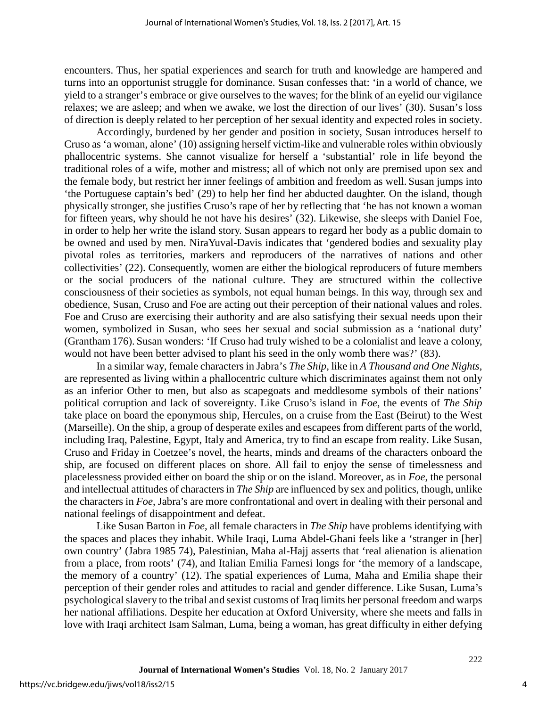encounters. Thus, her spatial experiences and search for truth and knowledge are hampered and turns into an opportunist struggle for dominance. Susan confesses that: 'in a world of chance, we yield to a stranger's embrace or give ourselves to the waves; for the blink of an eyelid our vigilance relaxes; we are asleep; and when we awake, we lost the direction of our lives' (30). Susan's loss of direction is deeply related to her perception of her sexual identity and expected roles in society.

Accordingly, burdened by her gender and position in society, Susan introduces herself to Cruso as 'a woman, alone' (10) assigning herself victim-like and vulnerable roles within obviously phallocentric systems. She cannot visualize for herself a 'substantial' role in life beyond the traditional roles of a wife, mother and mistress; all of which not only are premised upon sex and the female body, but restrict her inner feelings of ambition and freedom as well. Susan jumps into 'the Portuguese captain's bed' (29) to help her find her abducted daughter. On the island, though physically stronger, she justifies Cruso's rape of her by reflecting that 'he has not known a woman for fifteen years, why should he not have his desires' (32). Likewise, she sleeps with Daniel Foe, in order to help her write the island story. Susan appears to regard her body as a public domain to be owned and used by men. NiraYuval-Davis indicates that 'gendered bodies and sexuality play pivotal roles as territories, markers and reproducers of the narratives of nations and other collectivities' (22). Consequently, women are either the biological reproducers of future members or the social producers of the national culture. They are structured within the collective consciousness of their societies as symbols, not equal human beings. In this way, through sex and obedience, Susan, Cruso and Foe are acting out their perception of their national values and roles. Foe and Cruso are exercising their authority and are also satisfying their sexual needs upon their women, symbolized in Susan, who sees her sexual and social submission as a 'national duty' (Grantham 176). Susan wonders: 'If Cruso had truly wished to be a colonialist and leave a colony, would not have been better advised to plant his seed in the only womb there was?' (83).

In a similar way, female characters in Jabra's *The Ship,* like in *A Thousand and One Nights*, are represented as living within a phallocentric culture which discriminates against them not only as an inferior Other to men, but also as scapegoats and meddlesome symbols of their nations' political corruption and lack of sovereignty. Like Cruso's island in *Foe*, the events of *The Ship* take place on board the eponymous ship, Hercules, on a cruise from the East (Beirut) to the West (Marseille). On the ship, a group of desperate exiles and escapees from different parts of the world, including Iraq, Palestine, Egypt, Italy and America, try to find an escape from reality. Like Susan, Cruso and Friday in Coetzee's novel, the hearts, minds and dreams of the characters onboard the ship, are focused on different places on shore. All fail to enjoy the sense of timelessness and placelessness provided either on board the ship or on the island. Moreover, as in *Foe*, the personal and intellectual attitudes of characters in *The Ship* are influenced by sex and politics, though, unlike the characters in *Foe*, Jabra's are more confrontational and overt in dealing with their personal and national feelings of disappointment and defeat.

Like Susan Barton in *Foe*, all female characters in *The Ship* have problems identifying with the spaces and places they inhabit. While Iraqi, Luma Abdel-Ghani feels like a 'stranger in [her] own country' (Jabra 1985 74), Palestinian, Maha al-Hajj asserts that 'real alienation is alienation from a place, from roots' (74), and Italian Emilia Farnesi longs for 'the memory of a landscape, the memory of a country' (12). The spatial experiences of Luma, Maha and Emilia shape their perception of their gender roles and attitudes to racial and gender difference. Like Susan*,* Luma's psychological slavery to the tribal and sexist customs of Iraq limits her personal freedom and warps her national affiliations. Despite her education at Oxford University, where she meets and falls in love with Iraqi architect Isam Salman, Luma, being a woman, has great difficulty in either defying

4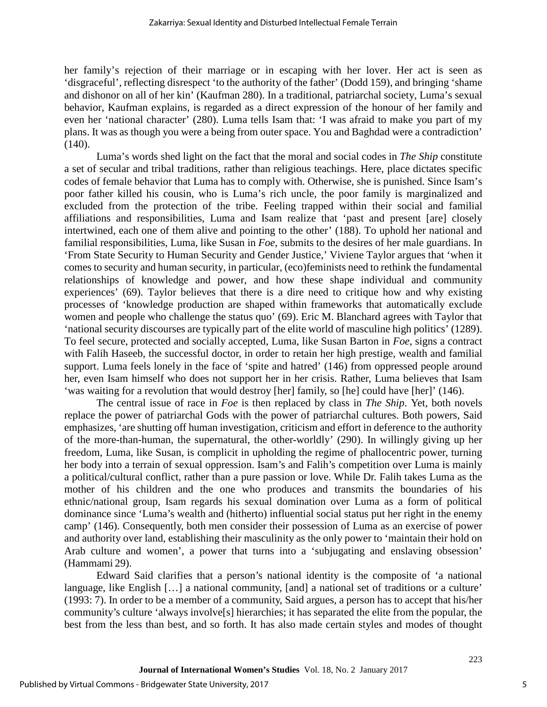her family's rejection of their marriage or in escaping with her lover. Her act is seen as 'disgraceful', reflecting disrespect 'to the authority of the father' (Dodd 159), and bringing 'shame and dishonor on all of her kin' (Kaufman 280). In a traditional, patriarchal society, Luma's sexual behavior, Kaufman explains, is regarded as a direct expression of the honour of her family and even her 'national character' (280). Luma tells Isam that: 'I was afraid to make you part of my plans. It was as though you were a being from outer space. You and Baghdad were a contradiction'  $(140).$ 

Luma's words shed light on the fact that the moral and social codes in *The Ship* constitute a set of secular and tribal traditions, rather than religious teachings. Here, place dictates specific codes of female behavior that Luma has to comply with. Otherwise, she is punished. Since Isam's poor father killed his cousin, who is Luma's rich uncle, the poor family is marginalized and excluded from the protection of the tribe. Feeling trapped within their social and familial affiliations and responsibilities, Luma and Isam realize that 'past and present [are] closely intertwined, each one of them alive and pointing to the other' (188). To uphold her national and familial responsibilities, Luma, like Susan in *Foe*, submits to the desires of her male guardians. In 'From State Security to Human Security and Gender Justice,' Viviene Taylor argues that 'when it comes to security and human security, in particular, (eco)feminists need to rethink the fundamental relationships of knowledge and power, and how these shape individual and community experiences' (69). Taylor believes that there is a dire need to critique how and why existing processes of 'knowledge production are shaped within frameworks that automatically exclude women and people who challenge the status quo' (69). Eric M. Blanchard agrees with Taylor that 'national security discourses are typically part of the elite world of masculine high politics' (1289). To feel secure, protected and socially accepted, Luma, like Susan Barton in *Foe*, signs a contract with Falih Haseeb, the successful doctor, in order to retain her high prestige, wealth and familial support. Luma feels lonely in the face of 'spite and hatred' (146) from oppressed people around her, even Isam himself who does not support her in her crisis. Rather, Luma believes that Isam 'was waiting for a revolution that would destroy [her] family, so [he] could have [her]' (146).

The central issue of race in *Foe* is then replaced by class in *The Ship*. Yet, both novels replace the power of patriarchal Gods with the power of patriarchal cultures. Both powers, Said emphasizes, 'are shutting off human investigation, criticism and effort in deference to the authority of the more-than-human, the supernatural, the other-worldly' (290). In willingly giving up her freedom, Luma, like Susan, is complicit in upholding the regime of phallocentric power, turning her body into a terrain of sexual oppression. Isam's and Falih's competition over Luma is mainly a political/cultural conflict, rather than a pure passion or love. While Dr. Falih takes Luma as the mother of his children and the one who produces and transmits the boundaries of his ethnic/national group, Isam regards his sexual domination over Luma as a form of political dominance since 'Luma's wealth and (hitherto) influential social status put her right in the enemy camp' (146). Consequently, both men consider their possession of Luma as an exercise of power and authority over land, establishing their masculinity as the only power to 'maintain their hold on Arab culture and women', a power that turns into a 'subjugating and enslaving obsession' (Hammami 29).

Edward Said clarifies that a person's national identity is the composite of 'a national language, like English […] a national community, [and] a national set of traditions or a culture' (1993: 7). In order to be a member of a community, Said argues, a person has to accept that his/her community's culture 'always involve[s] hierarchies; it has separated the elite from the popular, the best from the less than best, and so forth. It has also made certain styles and modes of thought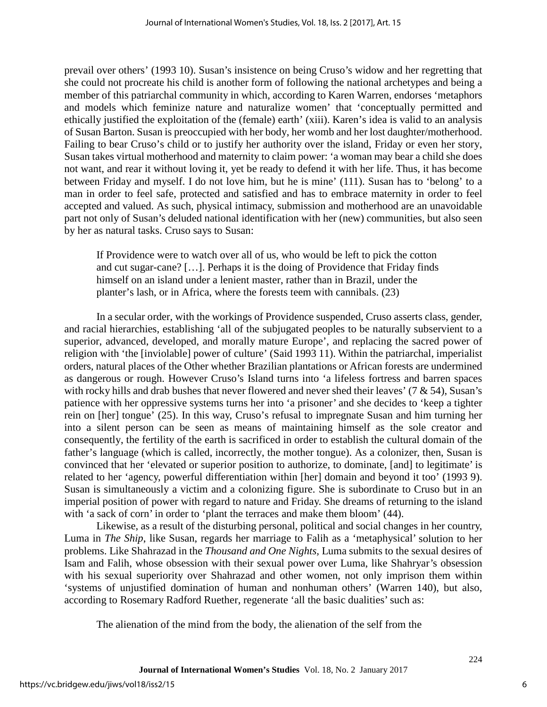prevail over others' (1993 10). Susan's insistence on being Cruso's widow and her regretting that she could not procreate his child is another form of following the national archetypes and being a member of this patriarchal community in which, according to Karen Warren, endorses 'metaphors and models which feminize nature and naturalize women' that 'conceptually permitted and ethically justified the exploitation of the (female) earth' (xiii). Karen's idea is valid to an analysis of Susan Barton. Susan is preoccupied with her body, her womb and her lost daughter/motherhood. Failing to bear Cruso's child or to justify her authority over the island, Friday or even her story, Susan takes virtual motherhood and maternity to claim power: 'a woman may bear a child she does not want, and rear it without loving it, yet be ready to defend it with her life. Thus, it has become between Friday and myself. I do not love him, but he is mine' (111). Susan has to 'belong' to a man in order to feel safe, protected and satisfied and has to embrace maternity in order to feel accepted and valued. As such, physical intimacy, submission and motherhood are an unavoidable part not only of Susan's deluded national identification with her (new) communities, but also seen by her as natural tasks. Cruso says to Susan:

If Providence were to watch over all of us, who would be left to pick the cotton and cut sugar-cane? […]. Perhaps it is the doing of Providence that Friday finds himself on an island under a lenient master, rather than in Brazil, under the planter's lash, or in Africa, where the forests teem with cannibals. (23)

In a secular order, with the workings of Providence suspended, Cruso asserts class, gender, and racial hierarchies, establishing 'all of the subjugated peoples to be naturally subservient to a superior, advanced, developed, and morally mature Europe', and replacing the sacred power of religion with 'the [inviolable] power of culture' (Said 1993 11). Within the patriarchal, imperialist orders, natural places of the Other whether Brazilian plantations or African forests are undermined as dangerous or rough. However Cruso's Island turns into 'a lifeless fortress and barren spaces with rocky hills and drab bushes that never flowered and never shed their leaves'  $(7 \& 54)$ , Susan's patience with her oppressive systems turns her into 'a prisoner' and she decides to 'keep a tighter rein on [her] tongue' (25). In this way, Cruso's refusal to impregnate Susan and him turning her into a silent person can be seen as means of maintaining himself as the sole creator and consequently, the fertility of the earth is sacrificed in order to establish the cultural domain of the father's language (which is called, incorrectly, the mother tongue). As a colonizer, then, Susan is convinced that her 'elevated or superior position to authorize, to dominate, [and] to legitimate' is related to her 'agency, powerful differentiation within [her] domain and beyond it too' (1993 9). Susan is simultaneously a victim and a colonizing figure. She is subordinate to Cruso but in an imperial position of power with regard to nature and Friday. She dreams of returning to the island with 'a sack of corn' in order to 'plant the terraces and make them bloom' (44).

Likewise, as a result of the disturbing personal, political and social changes in her country, Luma in *The Ship*, like Susan, regards her marriage to Falih as a 'metaphysical' solution to her problems. Like Shahrazad in the *Thousand and One Nights,* Luma submits to the sexual desires of Isam and Falih, whose obsession with their sexual power over Luma, like Shahryar's obsession with his sexual superiority over Shahrazad and other women, not only imprison them within 'systems of unjustified domination of human and nonhuman others' (Warren 140), but also, according to Rosemary Radford Ruether, regenerate 'all the basic dualities' such as:

The alienation of the mind from the body, the alienation of the self from the

6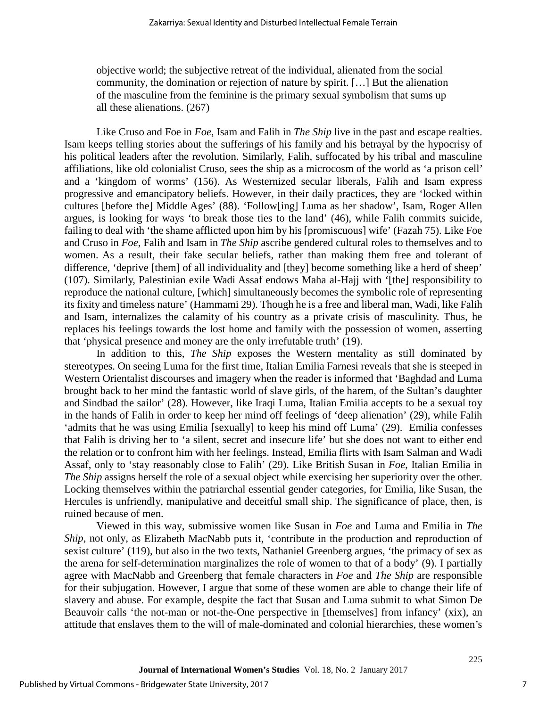objective world; the subjective retreat of the individual, alienated from the social community, the domination or rejection of nature by spirit. […] But the alienation of the masculine from the feminine is the primary sexual symbolism that sums up all these alienations. (267)

Like Cruso and Foe in *Foe*, Isam and Falih in *The Ship* live in the past and escape realties. Isam keeps telling stories about the sufferings of his family and his betrayal by the hypocrisy of his political leaders after the revolution. Similarly, Falih, suffocated by his tribal and masculine affiliations, like old colonialist Cruso, sees the ship as a microcosm of the world as 'a prison cell' and a 'kingdom of worms' (156). As Westernized secular liberals, Falih and Isam express progressive and emancipatory beliefs. However, in their daily practices, they are 'locked within cultures [before the] Middle Ages' (88). 'Follow[ing] Luma as her shadow', Isam, Roger Allen argues, is looking for ways 'to break those ties to the land' (46), while Falih commits suicide, failing to deal with 'the shame afflicted upon him by his [promiscuous] wife' (Fazah 75). Like Foe and Cruso in *Foe*, Falih and Isam in *The Ship* ascribe gendered cultural roles to themselves and to women. As a result, their fake secular beliefs, rather than making them free and tolerant of difference, 'deprive [them] of all individuality and [they] become something like a herd of sheep' (107). Similarly, Palestinian exile Wadi Assaf endows Maha al-Hajj with '[the] responsibility to reproduce the national culture, [which] simultaneously becomes the symbolic role of representing its fixity and timeless nature' (Hammami 29). Though he is a free and liberal man, Wadi, like Falih and Isam, internalizes the calamity of his country as a private crisis of masculinity. Thus, he replaces his feelings towards the lost home and family with the possession of women, asserting that 'physical presence and money are the only irrefutable truth' (19).

In addition to this, *The Ship* exposes the Western mentality as still dominated by stereotypes. On seeing Luma for the first time, Italian Emilia Farnesi reveals that she is steeped in Western Orientalist discourses and imagery when the reader is informed that 'Baghdad and Luma brought back to her mind the fantastic world of slave girls, of the harem, of the Sultan's daughter and Sindbad the sailor' (28). However, like Iraqi Luma, Italian Emilia accepts to be a sexual toy in the hands of Falih in order to keep her mind off feelings of 'deep alienation' (29), while Falih 'admits that he was using Emilia [sexually] to keep his mind off Luma' (29). Emilia confesses that Falih is driving her to 'a silent, secret and insecure life' but she does not want to either end the relation or to confront him with her feelings. Instead, Emilia flirts with Isam Salman and Wadi Assaf, only to 'stay reasonably close to Falih' (29). Like British Susan in *Foe*, Italian Emilia in *The Ship* assigns herself the role of a sexual object while exercising her superiority over the other. Locking themselves within the patriarchal essential gender categories, for Emilia, like Susan, the Hercules is unfriendly, manipulative and deceitful small ship. The significance of place, then, is ruined because of men.

Viewed in this way, submissive women like Susan in *Foe* and Luma and Emilia in *The Ship*, not only, as Elizabeth MacNabb puts it, 'contribute in the production and reproduction of sexist culture' (119), but also in the two texts, Nathaniel Greenberg argues, 'the primacy of sex as the arena for self-determination marginalizes the role of women to that of a body' (9). I partially agree with MacNabb and Greenberg that female characters in *Foe* and *The Ship* are responsible for their subjugation. However, I argue that some of these women are able to change their life of slavery and abuse. For example, despite the fact that Susan and Luma submit to what Simon De Beauvoir calls 'the not-man or not-the-One perspective in [themselves] from infancy' (xix), an attitude that enslaves them to the will of male-dominated and colonial hierarchies, these women's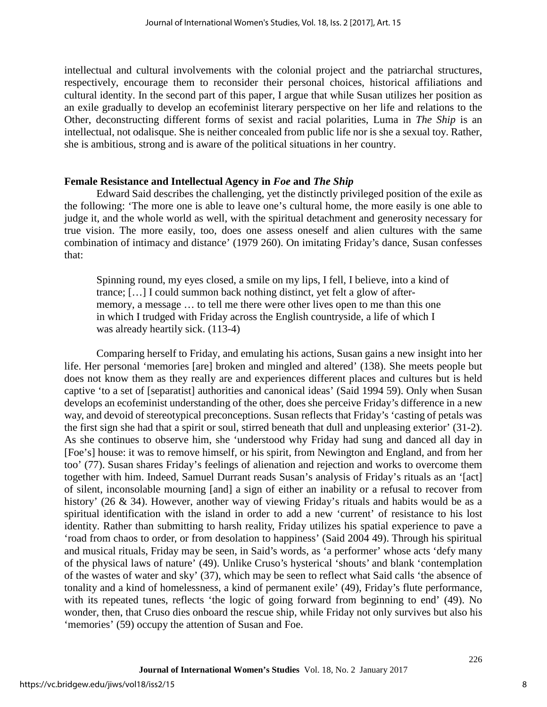intellectual and cultural involvements with the colonial project and the patriarchal structures, respectively, encourage them to reconsider their personal choices, historical affiliations and cultural identity. In the second part of this paper, I argue that while Susan utilizes her position as an exile gradually to develop an ecofeminist literary perspective on her life and relations to the Other, deconstructing different forms of sexist and racial polarities, Luma in *The Ship* is an intellectual, not odalisque. She is neither concealed from public life nor is she a sexual toy. Rather, she is ambitious, strong and is aware of the political situations in her country.

#### **Female Resistance and Intellectual Agency in** *Foe* **and** *The Ship*

Edward Said describes the challenging, yet the distinctly privileged position of the exile as the following: 'The more one is able to leave one's cultural home, the more easily is one able to judge it, and the whole world as well, with the spiritual detachment and generosity necessary for true vision. The more easily, too, does one assess oneself and alien cultures with the same combination of intimacy and distance' (1979 260). On imitating Friday's dance, Susan confesses that:

Spinning round, my eyes closed, a smile on my lips, I fell, I believe, into a kind of trance; […] I could summon back nothing distinct, yet felt a glow of aftermemory, a message … to tell me there were other lives open to me than this one in which I trudged with Friday across the English countryside, a life of which I was already heartily sick. (113-4)

Comparing herself to Friday, and emulating his actions, Susan gains a new insight into her life. Her personal 'memories [are] broken and mingled and altered' (138). She meets people but does not know them as they really are and experiences different places and cultures but is held captive 'to a set of [separatist] authorities and canonical ideas' (Said 1994 59). Only when Susan develops an ecofeminist understanding of the other, does she perceive Friday's difference in a new way, and devoid of stereotypical preconceptions. Susan reflects that Friday's 'casting of petals was the first sign she had that a spirit or soul, stirred beneath that dull and unpleasing exterior' (31-2). As she continues to observe him, she 'understood why Friday had sung and danced all day in [Foe's] house: it was to remove himself, or his spirit, from Newington and England, and from her too' (77). Susan shares Friday's feelings of alienation and rejection and works to overcome them together with him. Indeed, Samuel Durrant reads Susan's analysis of Friday's rituals as an '[act] of silent, inconsolable mourning [and] a sign of either an inability or a refusal to recover from history' (26 & 34). However, another way of viewing Friday's rituals and habits would be as a spiritual identification with the island in order to add a new 'current' of resistance to his lost identity. Rather than submitting to harsh reality, Friday utilizes his spatial experience to pave a 'road from chaos to order, or from desolation to happiness' (Said 2004 49). Through his spiritual and musical rituals, Friday may be seen, in Said's words, as 'a performer' whose acts 'defy many of the physical laws of nature' (49). Unlike Cruso's hysterical 'shouts' and blank 'contemplation of the wastes of water and sky' (37), which may be seen to reflect what Said calls 'the absence of tonality and a kind of homelessness, a kind of permanent exile' (49), Friday's flute performance, with its repeated tunes, reflects 'the logic of going forward from beginning to end' (49). No wonder, then, that Cruso dies onboard the rescue ship, while Friday not only survives but also his 'memories' (59) occupy the attention of Susan and Foe.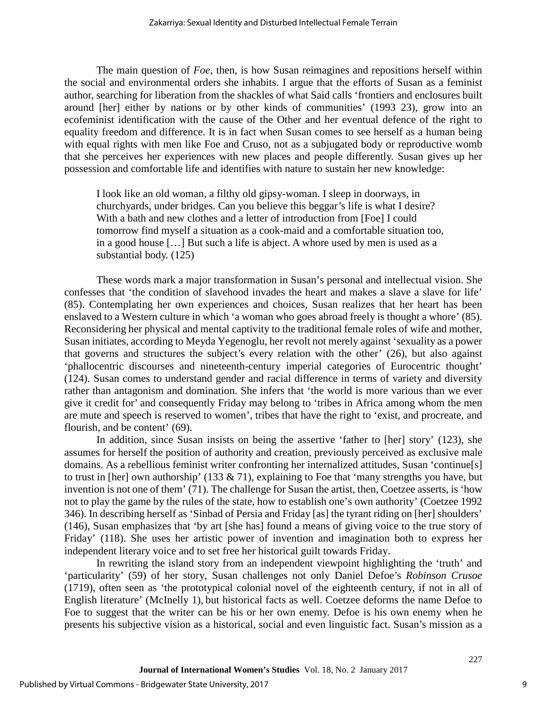The main question of *Foe*, then, is how Susan reimagines and repositions herself within the social and environmental orders she inhabits. I argue that the efforts of Susan as a feminist author, searching for liberation from the shackles of what Said calls 'frontiers and enclosures built around [her] either by nations or by other kinds of communities' (1993 23), grow into an ecofeminist identification with the cause of the Other and her eventual defence of the right to equality freedom and difference. It is in fact when Susan comes to see herself as a human being with equal rights with men like Foe and Cruso, not as a subjugated body or reproductive womb that she perceives her experiences with new places and people differently. Susan gives up her possession and comfortable life and identifies with nature to sustain her new knowledge:

I look like an old woman, a filthy old gipsy-woman. I sleep in doorways, in churchyards, under bridges. Can you believe this beggar's life is what I desire? With a bath and new clothes and a letter of introduction from [Foe] I could tomorrow find myself a situation as a cook-maid and a comfortable situation too, in a good house […] But such a life is abject. A whore used by men is used as a substantial body. (125)

These words mark a major transformation in Susan's personal and intellectual vision. She confesses that 'the condition of slavehood invades the heart and makes a slave a slave for life' (85). Contemplating her own experiences and choices, Susan realizes that her heart has been enslaved to a Western culture in which 'a woman who goes abroad freely is thought a whore' (85). Reconsidering her physical and mental captivity to the traditional female roles of wife and mother, Susan initiates, according to Meyda Yegenoglu, her revolt not merely against 'sexuality as a power that governs and structures the subject's every relation with the other' (26), but also against 'phallocentric discourses and nineteenth-century imperial categories of Eurocentric thought' (124). Susan comes to understand gender and racial difference in terms of variety and diversity rather than antagonism and domination. She infers that 'the world is more various than we ever give it credit for' and consequently Friday may belong to 'tribes in Africa among whom the men are mute and speech is reserved to women', tribes that have the right to 'exist, and procreate, and flourish, and be content' (69).

In addition, since Susan insists on being the assertive 'father to [her] story' (123), she assumes for herself the position of authority and creation, previously perceived as exclusive male domains. As a rebellious feminist writer confronting her internalized attitudes, Susan 'continue[s] to trust in [her] own authorship' (133  $\&$  71), explaining to Foe that 'many strengths you have, but invention is not one of them' (71). The challenge for Susan the artist, then, Coetzee asserts, is 'how not to play the game by the rules of the state, how to establish one's own authority' (Coetzee 1992 346). In describing herself as 'Sinbad of Persia and Friday [as] the tyrant riding on [her] shoulders' (146), Susan emphasizes that 'by art [she has] found a means of giving voice to the true story of Friday' (118). She uses her artistic power of invention and imagination both to express her independent literary voice and to set free her historical guilt towards Friday.

In rewriting the island story from an independent viewpoint highlighting the 'truth' and 'particularity' (59) of her story, Susan challenges not only Daniel Defoe's *Robinson Crusoe*  (1719), often seen as 'the prototypical colonial novel of the eighteenth century, if not in all of English literature' (McInelly 1), but historical facts as well. Coetzee deforms the name Defoe to Foe to suggest that the writer can be his or her own enemy. Defoe is his own enemy when he presents his subjective vision as a historical, social and even linguistic fact. Susan's mission as a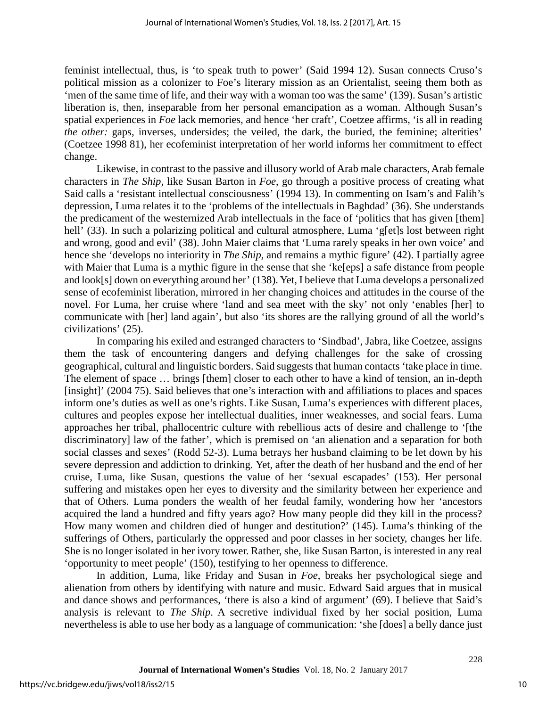feminist intellectual, thus, is 'to speak truth to power' (Said 1994 12). Susan connects Cruso's political mission as a colonizer to Foe's literary mission as an Orientalist, seeing them both as 'men of the same time of life, and their way with a woman too was the same' (139). Susan's artistic liberation is, then, inseparable from her personal emancipation as a woman. Although Susan's spatial experiences in *Foe* lack memories, and hence 'her craft', Coetzee affirms, 'is all in reading *the other:* gaps, inverses, undersides; the veiled, the dark, the buried, the feminine; alterities' (Coetzee 1998 81), her ecofeminist interpretation of her world informs her commitment to effect change.

Likewise, in contrast to the passive and illusory world of Arab male characters, Arab female characters in *The Ship,* like Susan Barton in *Foe*, go through a positive process of creating what Said calls a 'resistant intellectual consciousness' (1994 13). In commenting on Isam's and Falih's depression, Luma relates it to the 'problems of the intellectuals in Baghdad' (36). She understands the predicament of the westernized Arab intellectuals in the face of 'politics that has given [them] hell' (33). In such a polarizing political and cultural atmosphere, Luma 'g[et]s lost between right and wrong, good and evil' (38). John Maier claims that 'Luma rarely speaks in her own voice' and hence she 'develops no interiority in *The Ship,* and remains a mythic figure' (42). I partially agree with Maier that Luma is a mythic figure in the sense that she 'ke[eps] a safe distance from people and look[s] down on everything around her' (138). Yet, I believe that Luma develops a personalized sense of ecofeminist liberation, mirrored in her changing choices and attitudes in the course of the novel. For Luma, her cruise where 'land and sea meet with the sky' not only 'enables [her] to communicate with [her] land again', but also 'its shores are the rallying ground of all the world's civilizations' (25).

In comparing his exiled and estranged characters to 'Sindbad', Jabra, like Coetzee, assigns them the task of encountering dangers and defying challenges for the sake of crossing geographical, cultural and linguistic borders. Said suggests that human contacts 'take place in time. The element of space … brings [them] closer to each other to have a kind of tension, an in-depth [insight]' (2004 75). Said believes that one's interaction with and affiliations to places and spaces inform one's duties as well as one's rights. Like Susan, Luma's experiences with different places, cultures and peoples expose her intellectual dualities, inner weaknesses, and social fears. Luma approaches her tribal, phallocentric culture with rebellious acts of desire and challenge to '[the discriminatory] law of the father', which is premised on 'an alienation and a separation for both social classes and sexes' (Rodd 52-3). Luma betrays her husband claiming to be let down by his severe depression and addiction to drinking. Yet, after the death of her husband and the end of her cruise, Luma, like Susan, questions the value of her 'sexual escapades' (153). Her personal suffering and mistakes open her eyes to diversity and the similarity between her experience and that of Others. Luma ponders the wealth of her feudal family, wondering how her 'ancestors acquired the land a hundred and fifty years ago? How many people did they kill in the process? How many women and children died of hunger and destitution?' (145). Luma's thinking of the sufferings of Others, particularly the oppressed and poor classes in her society, changes her life. She is no longer isolated in her ivory tower. Rather, she, like Susan Barton, is interested in any real 'opportunity to meet people' (150), testifying to her openness to difference.

In addition, Luma, like Friday and Susan in *Foe*, breaks her psychological siege and alienation from others by identifying with nature and music. Edward Said argues that in musical and dance shows and performances, 'there is also a kind of argument' (69). I believe that Said's analysis is relevant to *The Ship*. A secretive individual fixed by her social position, Luma nevertheless is able to use her body as a language of communication: 'she [does] a belly dance just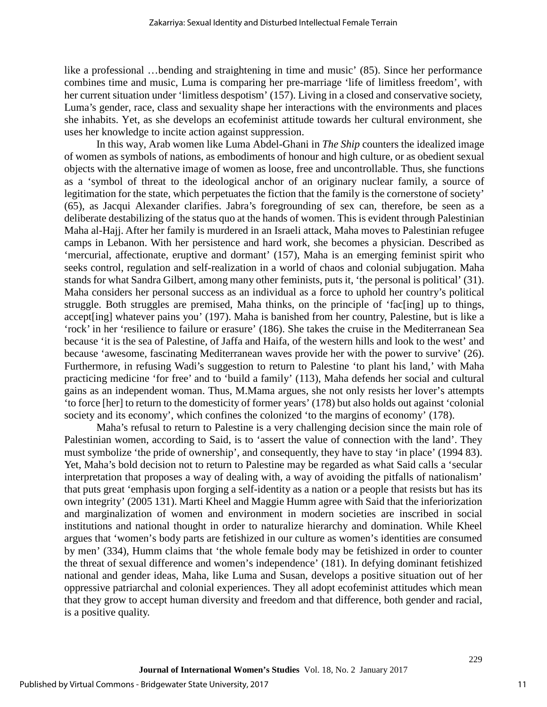like a professional …bending and straightening in time and music' (85). Since her performance combines time and music, Luma is comparing her pre-marriage 'life of limitless freedom', with her current situation under 'limitless despotism' (157). Living in a closed and conservative society, Luma's gender, race, class and sexuality shape her interactions with the environments and places she inhabits. Yet, as she develops an ecofeminist attitude towards her cultural environment, she uses her knowledge to incite action against suppression.

In this way, Arab women like Luma Abdel-Ghani in *The Ship* counters the idealized image of women as symbols of nations, as embodiments of honour and high culture, or as obedient sexual objects with the alternative image of women as loose, free and uncontrollable. Thus, she functions as a 'symbol of threat to the ideological anchor of an originary nuclear family, a source of legitimation for the state, which perpetuates the fiction that the family is the cornerstone of society' (65), as Jacqui Alexander clarifies. Jabra's foregrounding of sex can, therefore, be seen as a deliberate destabilizing of the status quo at the hands of women. This is evident through Palestinian Maha al-Hajj. After her family is murdered in an Israeli attack, Maha moves to Palestinian refugee camps in Lebanon. With her persistence and hard work, she becomes a physician. Described as 'mercurial, affectionate, eruptive and dormant' (157), Maha is an emerging feminist spirit who seeks control, regulation and self-realization in a world of chaos and colonial subjugation. Maha stands for what Sandra Gilbert, among many other feminists, puts it, 'the personal is political' (31). Maha considers her personal success as an individual as a force to uphold her country's political struggle. Both struggles are premised, Maha thinks, on the principle of 'fac[ing] up to things, accept[ing] whatever pains you' (197). Maha is banished from her country, Palestine, but is like a 'rock' in her 'resilience to failure or erasure' (186). She takes the cruise in the Mediterranean Sea because 'it is the sea of Palestine, of Jaffa and Haifa, of the western hills and look to the west' and because 'awesome, fascinating Mediterranean waves provide her with the power to survive' (26). Furthermore, in refusing Wadi's suggestion to return to Palestine 'to plant his land,' with Maha practicing medicine 'for free' and to 'build a family' (113), Maha defends her social and cultural gains as an independent woman. Thus, M.Mama argues, she not only resists her lover's attempts 'to force [her] to return to the domesticity of former years' (178) but also holds out against 'colonial society and its economy', which confines the colonized 'to the margins of economy' (178).

Maha's refusal to return to Palestine is a very challenging decision since the main role of Palestinian women, according to Said, is to 'assert the value of connection with the land'. They must symbolize 'the pride of ownership', and consequently, they have to stay 'in place' (1994 83). Yet, Maha's bold decision not to return to Palestine may be regarded as what Said calls a 'secular interpretation that proposes a way of dealing with, a way of avoiding the pitfalls of nationalism' that puts great 'emphasis upon forging a self-identity as a nation or a people that resists but has its own integrity' (2005 131). Marti Kheel and Maggie Humm agree with Said that the inferiorization and marginalization of women and environment in modern societies are inscribed in social institutions and national thought in order to naturalize hierarchy and domination. While Kheel argues that 'women's body parts are fetishized in our culture as women's identities are consumed by men' (334), Humm claims that 'the whole female body may be fetishized in order to counter the threat of sexual difference and women's independence' (181). In defying dominant fetishized national and gender ideas, Maha, like Luma and Susan, develops a positive situation out of her oppressive patriarchal and colonial experiences. They all adopt ecofeminist attitudes which mean that they grow to accept human diversity and freedom and that difference, both gender and racial, is a positive quality.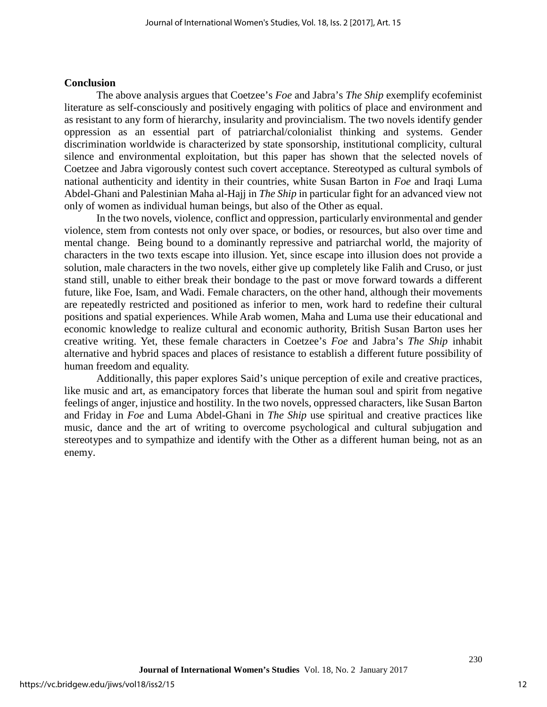#### **Conclusion**

The above analysis argues that Coetzee's *Foe* and Jabra's *The Ship* exemplify ecofeminist literature as self-consciously and positively engaging with politics of place and environment and as resistant to any form of hierarchy, insularity and provincialism. The two novels identify gender oppression as an essential part of patriarchal/colonialist thinking and systems. Gender discrimination worldwide is characterized by state sponsorship, institutional complicity, cultural silence and environmental exploitation, but this paper has shown that the selected novels of Coetzee and Jabra vigorously contest such covert acceptance. Stereotyped as cultural symbols of national authenticity and identity in their countries, white Susan Barton in *Foe* and Iraqi Luma Abdel-Ghani and Palestinian Maha al-Hajj in *The Ship* in particular fight for an advanced view not only of women as individual human beings, but also of the Other as equal.

In the two novels, violence, conflict and oppression, particularly environmental and gender violence, stem from contests not only over space, or bodies, or resources, but also over time and mental change. Being bound to a dominantly repressive and patriarchal world, the majority of characters in the two texts escape into illusion. Yet, since escape into illusion does not provide a solution, male characters in the two novels, either give up completely like Falih and Cruso, or just stand still, unable to either break their bondage to the past or move forward towards a different future, like Foe, Isam, and Wadi. Female characters, on the other hand, although their movements are repeatedly restricted and positioned as inferior to men, work hard to redefine their cultural positions and spatial experiences. While Arab women, Maha and Luma use their educational and economic knowledge to realize cultural and economic authority, British Susan Barton uses her creative writing. Yet, these female characters in Coetzee's *Foe* and Jabra's *The Ship* inhabit alternative and hybrid spaces and places of resistance to establish a different future possibility of human freedom and equality.

Additionally, this paper explores Said's unique perception of exile and creative practices, like music and art, as emancipatory forces that liberate the human soul and spirit from negative feelings of anger, injustice and hostility. In the two novels*,* oppressed characters, like Susan Barton and Friday in *Foe* and Luma Abdel-Ghani in *The Ship* use spiritual and creative practices like music, dance and the art of writing to overcome psychological and cultural subjugation and stereotypes and to sympathize and identify with the Other as a different human being, not as an enemy.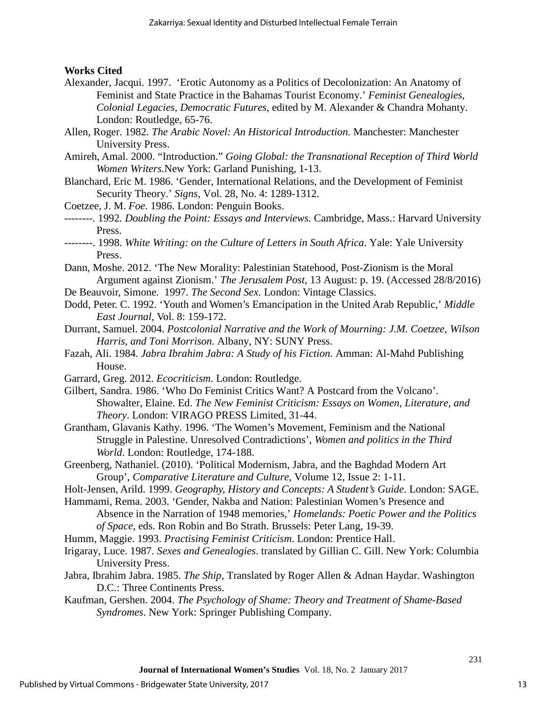### **Works Cited**

- Alexander, Jacqui. 1997. 'Erotic Autonomy as a Politics of Decolonization: An Anatomy of Feminist and State Practice in the Bahamas Tourist Economy.' *Feminist Genealogies, Colonial Legacies, Democratic Futures*, edited by M. Alexander & Chandra Mohanty. London: Routledge, 65-76.
- Allen, Roger. 1982. *The Arabic Novel: An Historical Introduction.* Manchester: Manchester University Press.
- Amireh, Amal. 2000. "Introduction." *Going Global: the Transnational Reception of Third World Women Writers.*New York: Garland Punishing, 1-13.
- Blanchard, Eric M. 1986. 'Gender, International Relations, and the Development of Feminist Security Theory.' *Signs*, Vol. 28, No. 4: 1289-1312.
- Coetzee, J. M. *Foe*. 1986. London: Penguin Books.
- *--------.* 1992*. Doubling the Point: Essays and Interviews.* Cambridge, Mass.: Harvard University Press.
- *--------.* 1998. *White Writing: on the Culture of Letters in South Africa*. Yale: Yale University Press.
- Dann, Moshe. 2012. 'The New Morality: Palestinian Statehood, Post-Zionism is the Moral Argument against Zionism.' *The Jerusalem Post*, 13 August: p. 19. (Accessed 28/8/2016)
- De Beauvoir, Simone*.* 1997*. The Second Sex*. London: Vintage Classics.
- Dodd, Peter. C. 1992. 'Youth and Women's Emancipation in the United Arab Republic,' *Middle East Journal,* Vol. 8: 159-172.
- Durrant*,* Samuel. 2004. *Postcolonial Narrative and the Work of Mourning: J.M. Coetzee, Wilson Harris, and Toni Morrison.* Albany, NY: SUNY Press.
- Fazah, Ali. 1984. *Jabra Ibrahim Jabra: A Study of his Fiction.* Amman: Al-Mahd Publishing House.
- Garrard, Greg. 2012. *Ecocriticism*. London: Routledge.
- Gilbert, Sandra. 1986. 'Who Do Feminist Critics Want? A Postcard from the Volcano'. Showalter, Elaine. Ed. *The New Feminist Criticism: Essays on Women, Literature, and Theory*. London: VIRAGO PRESS Limited, 31-44.
- Grantham, Glavanis Kathy. 1996. 'The Women's Movement, Feminism and the National Struggle in Palestine. Unresolved Contradictions', *Women and politics in the Third World*. London: Routledge, 174-188.
- Greenberg, Nathaniel. (2010). 'Political Modernism, Jabra, and the Baghdad Modern Art Group', *Comparative Literature and Culture*, Volume 12, Issue 2: 1-11.
- [Holt-Jensen,](http://www.google.co.uk/search?tbo=p&tbm=bks&q=inauthor:) Arild. 1999. *Geography, History and Concepts: A Student's Guide*. London: SAGE.
- Hammami, Rema. 2003. 'Gender, Nakba and Nation: Palestinian Women's Presence and Absence in the Narration of 1948 memories,' *Homelands: Poetic Power and the Politics of Space*, eds. Ron Robin and Bo Strath. Brussels: Peter Lang, 19-39.
- Humm, Maggie. 1993. *Practising Feminist Criticism*. London: Prentice Hall.
- Irigaray, Luce. 1987. *Sexes and Genealogies*. translated by Gillian C. Gill. New York: Columbia University Press.
- Jabra, Ibrahim Jabra. 1985. *The Ship*, Translated by Roger Allen & Adnan Haydar. Washington D.C.: Three Continents Press.
- Kaufman, Gershen. 2004. *The Psychology of Shame: Theory and Treatment of Shame-Based Syndromes*. New York: Springer Publishing Company.